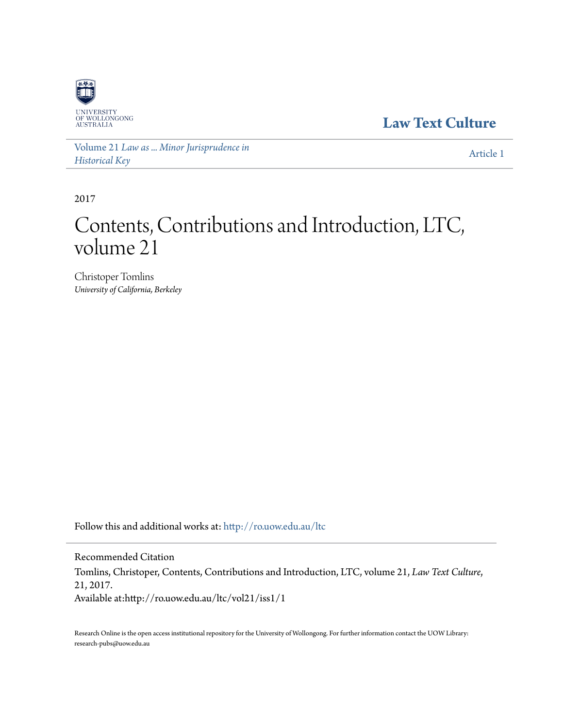

**[Law Text Culture](http://ro.uow.edu.au/ltc?utm_source=ro.uow.edu.au%2Fltc%2Fvol21%2Fiss1%2F1&utm_medium=PDF&utm_campaign=PDFCoverPages)**

Volume 21 *[Law as ... Minor Jurisprudence in](http://ro.uow.edu.au/ltc/vol21?utm_source=ro.uow.edu.au%2Fltc%2Fvol21%2Fiss1%2F1&utm_medium=PDF&utm_campaign=PDFCoverPages) [Historical Key](http://ro.uow.edu.au/ltc/vol21?utm_source=ro.uow.edu.au%2Fltc%2Fvol21%2Fiss1%2F1&utm_medium=PDF&utm_campaign=PDFCoverPages)*

[Article 1](http://ro.uow.edu.au/ltc/vol21/iss1/1?utm_source=ro.uow.edu.au%2Fltc%2Fvol21%2Fiss1%2F1&utm_medium=PDF&utm_campaign=PDFCoverPages)

2017

# Contents, Contributions and Introduction, LTC, volume 21

Christoper Tomlins *University of California, Berkeley*

Follow this and additional works at: [http://ro.uow.edu.au/ltc](http://ro.uow.edu.au/ltc?utm_source=ro.uow.edu.au%2Fltc%2Fvol21%2Fiss1%2F1&utm_medium=PDF&utm_campaign=PDFCoverPages)

Recommended Citation Tomlins, Christoper, Contents, Contributions and Introduction, LTC, volume 21, *Law Text Culture*, 21, 2017. Available at:http://ro.uow.edu.au/ltc/vol21/iss1/1

Research Online is the open access institutional repository for the University of Wollongong. For further information contact the UOW Library: research-pubs@uow.edu.au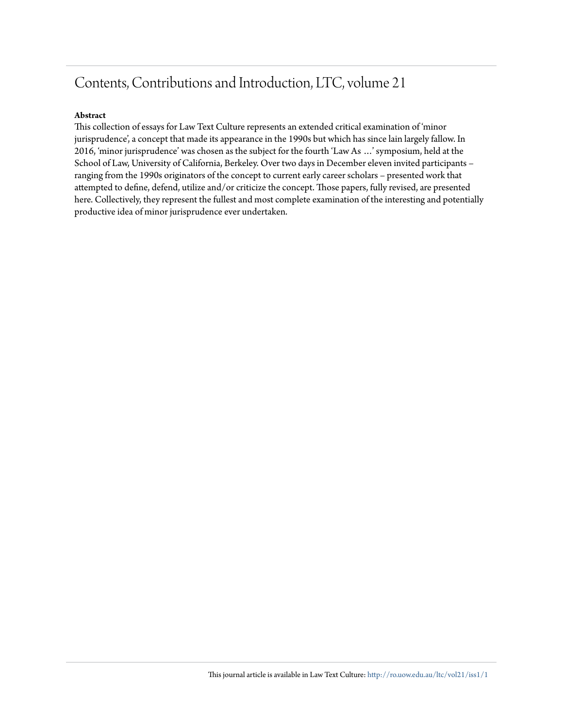# Contents, Contributions and Introduction, LTC, volume 21

#### **Abstract**

This collection of essays for Law Text Culture represents an extended critical examination of 'minor jurisprudence', a concept that made its appearance in the 1990s but which has since lain largely fallow. In 2016, 'minor jurisprudence' was chosen as the subject for the fourth 'Law As …' symposium, held at the School of Law, University of California, Berkeley. Over two days in December eleven invited participants – ranging from the 1990s originators of the concept to current early career scholars – presented work that attempted to define, defend, utilize and/or criticize the concept. Those papers, fully revised, are presented here. Collectively, they represent the fullest and most complete examination of the interesting and potentially productive idea of minor jurisprudence ever undertaken.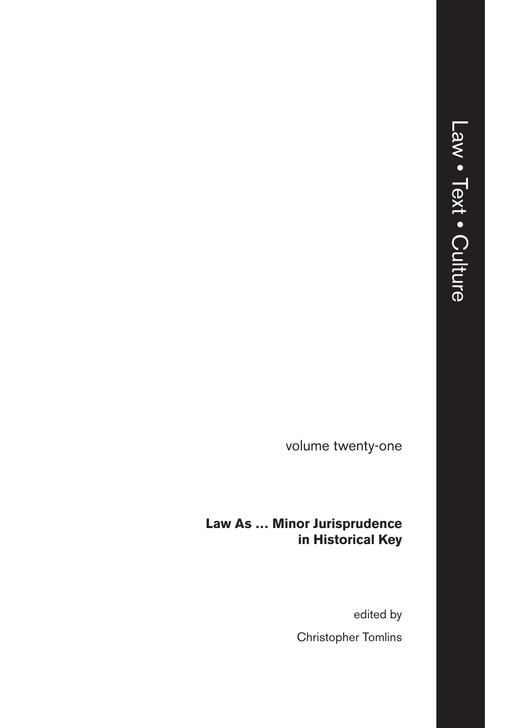volume twenty-one

#### **Law As … Minor Jurisprudence in Historical Key**

edited by Christopher Tomlins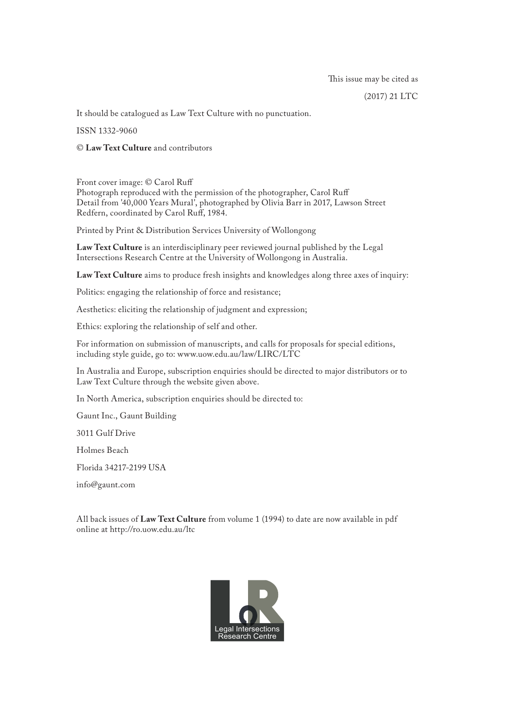(2017) 21 LTC

It should be catalogued as Law Text Culture with no punctuation.

ISSN 1332-9060

© **Law Text Culture** and contributors

Front cover image: © Carol Ruff Photograph reproduced with the permission of the photographer, Carol Ruff Detail from '40,000 Years Mural', photographed by Olivia Barr in 2017, Lawson Street Redfern, coordinated by Carol Ruff, 1984.

Printed by Print & Distribution Services University of Wollongong

**Law Text Culture** is an interdisciplinary peer reviewed journal published by the Legal Intersections Research Centre at the University of Wollongong in Australia.

**Law Text Culture** aims to produce fresh insights and knowledges along three axes of inquiry:

Politics: engaging the relationship of force and resistance;

Aesthetics: eliciting the relationship of judgment and expression;

Ethics: exploring the relationship of self and other.

For information on submission of manuscripts, and calls for proposals for special editions, including style guide, go to: www.uow.edu.au/law/LIRC/LTC

In Australia and Europe, subscription enquiries should be directed to major distributors or to Law Text Culture through the website given above.

In North America, subscription enquiries should be directed to:

Gaunt Inc., Gaunt Building

3011 Gulf Drive

Holmes Beach

Florida 34217-2199 USA

info@gaunt.com

All back issues of **Law Text Culture** from volume 1 (1994) to date are now available in pdf online at http://ro.uow.edu.au/ltc

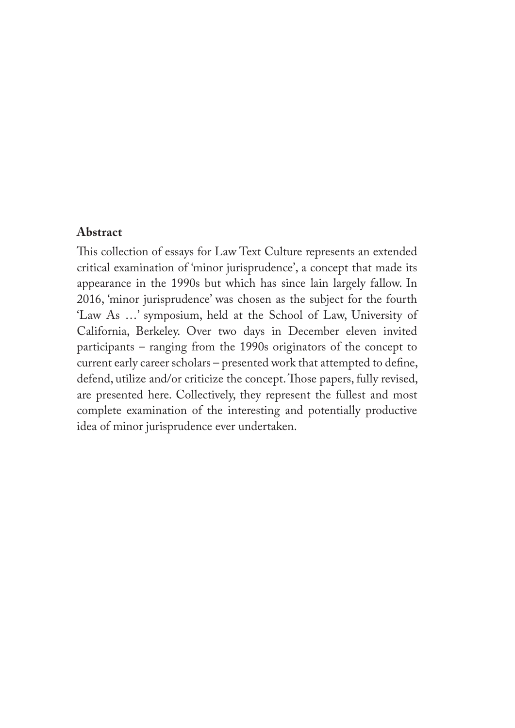#### **Abstract**

This collection of essays for Law Text Culture represents an extended critical examination of 'minor jurisprudence', a concept that made its appearance in the 1990s but which has since lain largely fallow. In 2016, 'minor jurisprudence' was chosen as the subject for the fourth 'Law As …' symposium, held at the School of Law, University of California, Berkeley. Over two days in December eleven invited participants – ranging from the 1990s originators of the concept to current early career scholars – presented work that attempted to define, defend, utilize and/or criticize the concept. Those papers, fully revised, are presented here. Collectively, they represent the fullest and most complete examination of the interesting and potentially productive idea of minor jurisprudence ever undertaken.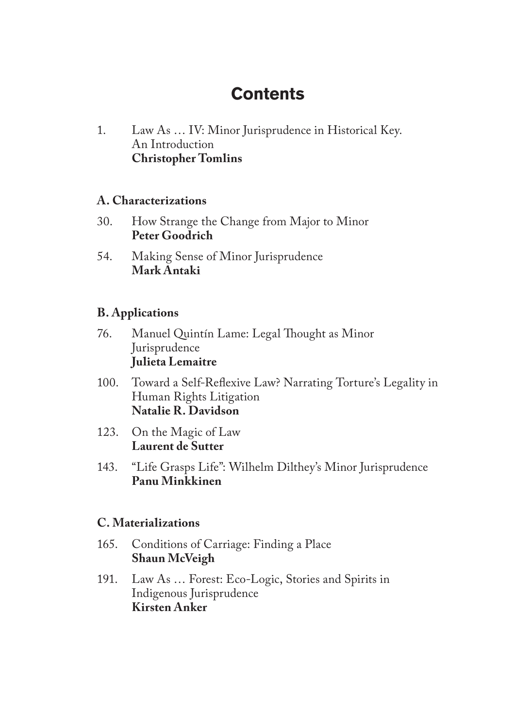## **Contents**

1. Law As … IV: Minor Jurisprudence in Historical Key. An Introduction **Christopher Tomlins**

#### **A. Characterizations**

- 30. How Strange the Change from Major to Minor **Peter Goodrich**
- 54. Making Sense of Minor Jurisprudence **Mark Antaki**

#### **B. Applications**

- 76. Manuel Quintín Lame: Legal Thought as Minor Jurisprudence **Julieta Lemaitre**
- 100. Toward a Self-Reflexive Law? Narrating Torture's Legality in Human Rights Litigation **Natalie R. Davidson**
- 123. On the Magic of Law **Laurent de Sutter**
- 143. "Life Grasps Life": Wilhelm Dilthey's Minor Jurisprudence **Panu Minkkinen**

#### **C. Materializations**

- 165. Conditions of Carriage: Finding a Place **Shaun McVeigh**
- 191. Law As … Forest: Eco-Logic, Stories and Spirits in Indigenous Jurisprudence **Kirsten Anker**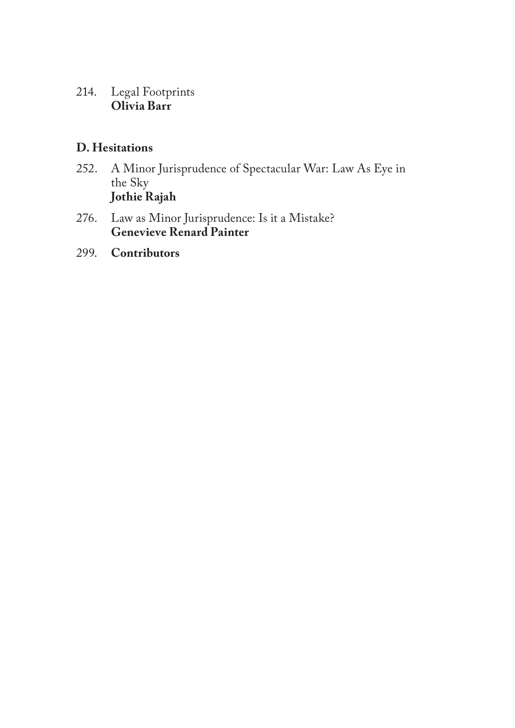#### 214. Legal Footprints **Olivia Barr**

#### **D. Hesitations**

- 252. A Minor Jurisprudence of Spectacular War: Law As Eye in the Sky **Jothie Rajah**
- 276. Law as Minor Jurisprudence: Is it a Mistake? **Genevieve Renard Painter**
- 299. **Contributors**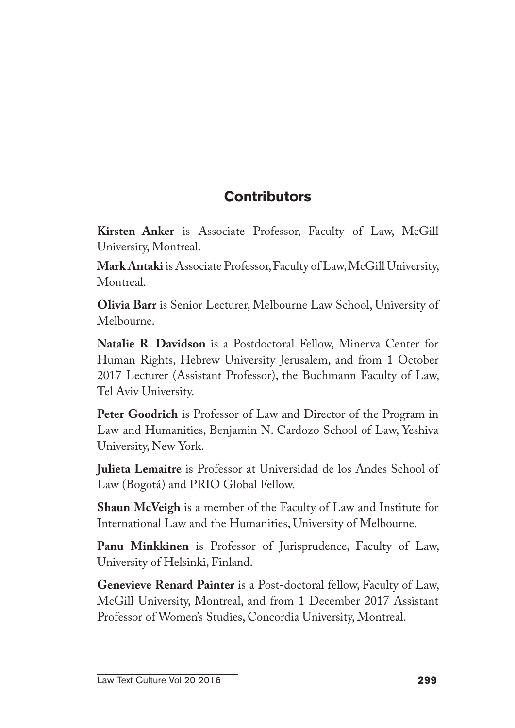### **Contributors**

**Kirsten Anker** is Associate Professor, Faculty of Law, McGill University, Montreal.

**Mark Antaki** is Associate Professor, Faculty of Law, McGill University, Montreal.

**Olivia Barr** is Senior Lecturer, Melbourne Law School, University of Melbourne.

**Natalie R**. **Davidson** is a Postdoctoral Fellow, Minerva Center for Human Rights, Hebrew University Jerusalem, and from 1 October 2017 Lecturer (Assistant Professor), the Buchmann Faculty of Law, Tel Aviv University.

**Peter Goodrich** is Professor of Law and Director of the Program in Law and Humanities, Benjamin N. Cardozo School of Law, Yeshiva University, New York.

**Julieta Lemaitre** is Professor at Universidad de los Andes School of Law (Bogotá) and PRIO Global Fellow.

**Shaun McVeigh** is a member of the Faculty of Law and Institute for International Law and the Humanities, University of Melbourne.

**Panu Minkkinen** is Professor of Jurisprudence, Faculty of Law, University of Helsinki, Finland.

**Genevieve Renard Painter** is a Post-doctoral fellow, Faculty of Law, McGill University, Montreal, and from 1 December 2017 Assistant Professor of Women's Studies, Concordia University, Montreal.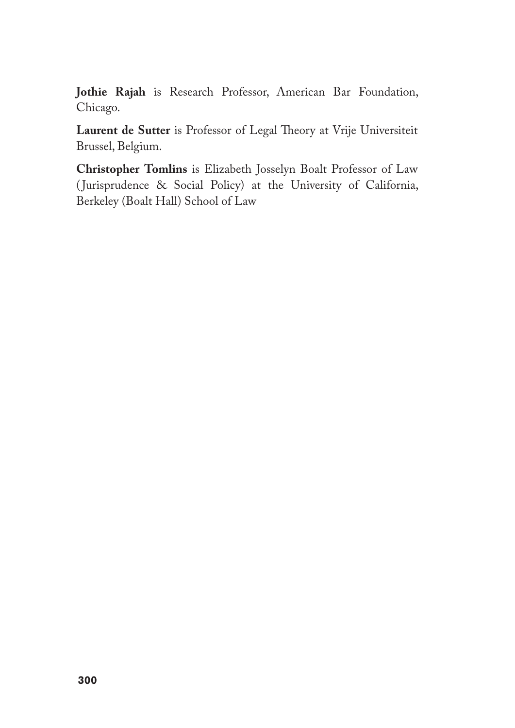**Jothie Rajah** is Research Professor, American Bar Foundation, Chicago.

**Laurent de Sutter** is Professor of Legal Theory at Vrije Universiteit Brussel, Belgium.

**Christopher Tomlins** is Elizabeth Josselyn Boalt Professor of Law ( Jurisprudence & Social Policy) at the University of California, Berkeley (Boalt Hall) School of Law